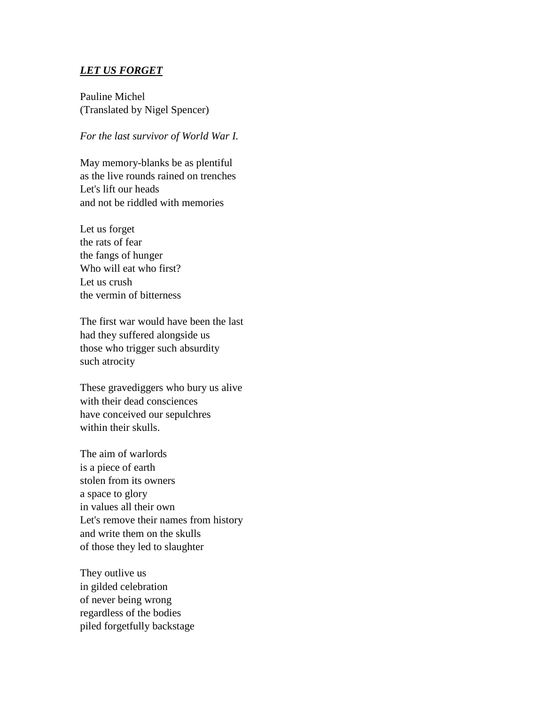## *LET US FORGET*

Pauline Michel (Translated by Nigel Spencer)

## *For the last survivor of World War I.*

May memory-blanks be as plentiful as the live rounds rained on trenches Let's lift our heads and not be riddled with memories

Let us forget the rats of fear the fangs of hunger Who will eat who first? Let us crush the vermin of bitterness

The first war would have been the last had they suffered alongside us those who trigger such absurdity such atrocity

These gravediggers who bury us alive with their dead consciences have conceived our sepulchres within their skulls.

The aim of warlords is a piece of earth stolen from its owners a space to glory in values all their own Let's remove their names from history and write them on the skulls of those they led to slaughter

They outlive us in gilded celebration of never being wrong regardless of the bodies piled forgetfully backstage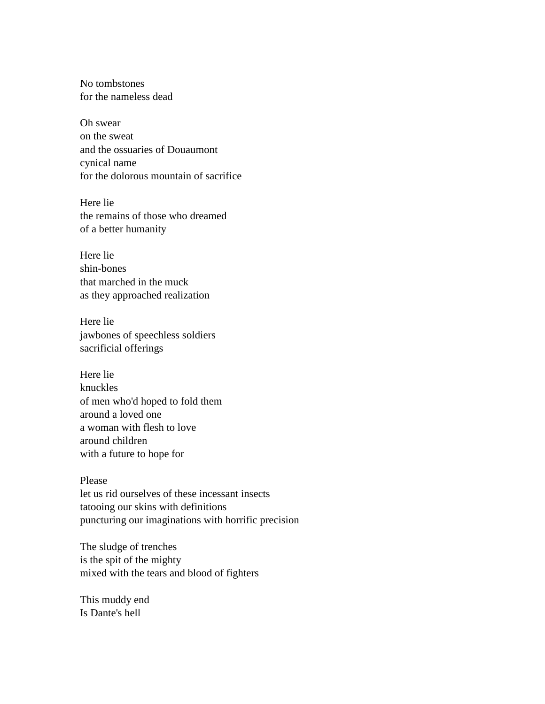No tombstones for the nameless dead

Oh swear on the sweat and the ossuaries of Douaumont cynical name for the dolorous mountain of sacrifice

Here lie the remains of those who dreamed of a better humanity

Here lie shin-bones that marched in the muck as they approached realization

Here lie jawbones of speechless soldiers sacrificial offerings

Here lie knuckles of men who'd hoped to fold them around a loved one a woman with flesh to love around children with a future to hope for

## Please

let us rid ourselves of these incessant insects tatooing our skins with definitions puncturing our imaginations with horrific precision

The sludge of trenches is the spit of the mighty mixed with the tears and blood of fighters

This muddy end Is Dante's hell